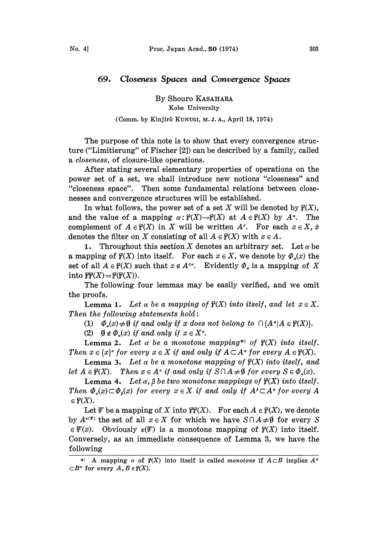## 69. Closeness Spaces and Convergence Spaces

By Shouro KASAHARA Kobe University

## (Comm. by Kinjir8 KUNUGI, M. J. A., April 18, 1974)

The purpose of this note is to show that every convergence structure ("Limitierung" of Fischer [2]) can be described by a family, called a closeness, of closure-like operations.

After stating several elementary properties of operations on the power set of a set, we shall introduce new notions "closeness" and "closeness space". Then some fundamental relations between closenesses and convergence structures will be established.

In what follows, the power set of a set X will be denoted by  $\mathcal{C}(X)$ , and the value of a mapping  $\alpha: \mathcal{C}(X) \to \mathcal{C}(X)$  at  $A \in \mathcal{C}(X)$  by  $A^{\alpha}$ . The complement of  $A \in \mathcal{C}(X)$  in X will be written  $A^c$ . For each  $x \in X$ ,  $\dot{x}$ denotes the filter on X consisting of all  $A \in \mathcal{C}(X)$  with  $x \in A$ .

1. Throughout this section X denotes an arbitrary set. Let  $\alpha$  be a mapping of  $\mathcal{C}(X)$  into itself. For each  $x \in X$ , we denote by  $\Phi_a(x)$  the set of all  $A \in \mathcal{C}(X)$  such that  $x \in A^{\circ \alpha}$ . Evidently  $\Phi_{\alpha}$  is a mapping of X into  $\mathcal{C}(X) = \mathcal{C}(\mathcal{C}(X)).$ 

The following four lemmas may be easily verified, and we omit the proofs.

**Lemma 1.** Let  $\alpha$  be a mapping of  $\mathcal{C}(X)$  into itself, and let  $x \in X$ . Then the following statements  $hold:$ 

(1)  $\Phi_n(x) \neq \emptyset$  if and only if x does not belong to  $\bigcap \{A^a | A \in \mathcal{C}(X)\}.$ 

(2)  $\emptyset \notin \Phi_{\alpha}(x)$  if and only if  $x \in X^{\alpha}$ .

**Lemma 2.** Let  $\alpha$  be a monotone mapping\* of  $\mathcal{C}(X)$  into itself. Then  $x \in \{x\}^*$  for every  $x \in X$  if and only if  $A \subset A^*$  for every  $A \in \mathcal{C}(X)$ .

**Lemma 3.** Let  $\alpha$  be a monotone mapping of  $\mathcal{C}(X)$  into itself, and let  $A \in \mathcal{C}(X)$ . Then  $x \in A^{\alpha}$  if and only if  $S \cap A \neq \emptyset$  for every  $S \in \Phi_{\alpha}(x)$ .

Lemma 4. Let  $\alpha$ ,  $\beta$  be two monotone mappings of  $\mathcal{C}(X)$  into itself. Then  $\Phi_{\alpha}(x) \subset \Phi_{\alpha}(x)$  for every  $x \in X$  if and only if  $A^{\beta} \subset A^{\alpha}$  for every A  $\in \mathcal{C}(X)$ .

Let V be a mapping of X into  $\mathcal{C}(X)$ . For each  $A \in \mathcal{C}(X)$ , we denote by  $A^{(r)}$  the set of all  $x \in X$  for which we have  $S \cap A \neq \emptyset$  for every S  $\in \mathcal{F}(x)$ . Obviously  $\kappa(\mathcal{F})$  is a monotone mapping of  $\mathcal{C}(X)$  into itself. Conversely, as an immediate consequence of Lemma 3, we have the following

<sup>\*)</sup> A mapping  $\alpha$  of  $\mathcal{C}(X)$  into itself is called monotone if  $A \subset B$  implies  $A^{\alpha}$  $\subset B^{\alpha}$  for every  $A, B \in \mathcal{C}(X)$ .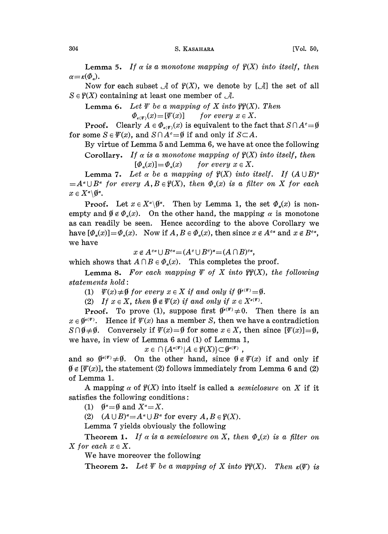**Lemma 5.** If  $\alpha$  is a monotone mapping of  $\mathcal{C}(X)$  into itself, then  $\alpha = \kappa(\Phi_*)$ .

Now for each subset  $\mathcal A$  of  $\mathcal G(X)$ , we denote by  $[\mathcal A]$  the set of all  $S \in \mathcal{C}(X)$  containing at least one member of  $\mathcal{A}$ .

**Lemma 6.** Let  $\Psi$  be a mapping of X into  $\mathcal{C}\mathcal{C}(X)$ . Then

 $\Phi_{\epsilon(\Psi)}(x) = [\Psi(x)]$  for every  $x \in X$ .

**Proof.** Clearly  $A \in \Phi_{\epsilon(\mathbf{r})}(x)$  is equivalent to the fact that  $S \cap A^c = \emptyset$ for some  $S \in \Psi(x)$ , and  $S \cap A^c = \emptyset$  if and only if  $S \subset A$ .

By virtue of Lemma 5 and Lemma 6, we have at once the following Corollary. If  $\alpha$  is a monotone mapping of  $\mathcal{C}(X)$  into itself, then

 $[\Phi_{\alpha}(x)] = \Phi_{\alpha}(x)$  for every  $x \in X$ .

Lemma 7. Let  $\alpha$  be a mapping of  $\mathcal{C}(X)$  into itself. If  $(A \cup B)^{\alpha}$  $=A^{\alpha}\cup B^{\alpha}$  for every  $A, B\in \mathcal{C}(X)$ , then  $\Phi_{\alpha}(x)$  is a filter on X for each  $x \in X^{\alpha} \backslash \emptyset^{\alpha}$ .

**Proof.** Let  $x \in X^{\alpha} \backslash \emptyset^{\alpha}$ . Then by Lemma 1, the set  $\Phi_{\alpha}(x)$  is nonempty and  $\emptyset \notin \Phi_{\alpha}(x)$ . On the other hand, the mapping  $\alpha$  is monotone as can readily be seen. Hence according to the above Corollary we have  $[\Phi_{\alpha}(x)] = \Phi_{\alpha}(x)$ . Now if  $A, B \in \Phi_{\alpha}(x)$ , then since  $x \notin A^{c\alpha}$  and  $x \notin B^{c\alpha}$ , we have

 $x \notin A^{c\alpha} \cup B^{c\alpha} = (A^c \cup B^c)^{\alpha} = (A \cap B)^{c\alpha},$ 

which shows that  $A \cap B \in \Phi_{\alpha}(x)$ . This completes the proof.

**Lemma 8.** For each mapping  $\Psi$  of X into  $\mathcal{C}(X)$ , the following statements hold:

(1)  $\psi(x) \neq \emptyset$  for every  $x \in X$  if and only if  $\emptyset^{(x)} = \emptyset$ .

(2) If  $x \in X$ , then  $\emptyset \notin \Psi(x)$  if and only if  $x \in X^{*(\Psi)}$ .

**Proof.** To prove (1), suppose first  $(\theta^{(\ell)}) \neq 0$ . Then there is an  $x \in \mathfrak{g}^{(x)}$ . Hence if  $\mathfrak{F}(x)$  has a member S, then we have a contradiction  $S \cap \emptyset \neq \emptyset$ . Conversely if  $\mathcal{V}(x) = \emptyset$  for some  $x \in X$ , then since  $[\mathcal{V}(x)] = \emptyset$ , we have, in view of Lemma  $6$  and  $(1)$  of Lemma 1,

 $x \in \bigcap \{A^{\kappa(\Psi)} | A \in \vartheta(X)\} \subset \theta^{\kappa(\Psi)}$ 

and so  $\theta^{(x)} \neq \theta$ . On the other hand, since  $\theta \notin \Psi(x)$  if and only if  $\emptyset \notin [\Psi(x)]$ , the statement (2) follows immediately from Lemma 6 and (2) of Lemma 1.

A mapping  $\alpha$  of  $\mathcal{C}(X)$  into itself is called a *semiclosure* on X if it satisfies the following conditions:

(1)  $\emptyset^{\alpha} = \emptyset$  and  $X^{\alpha} = X$ .

(2)  $(A \cup B)^{\alpha} = A^{\alpha} \cup B^{\alpha}$  for every  $A, B \in \mathcal{C}(X)$ .

Lemma 7 yields obviously the following

Theorem 1. If  $\alpha$  is a semiclosure on X, then  $\Phi_{\alpha}(x)$  is a filter on X for each  $x \in X$ .

We have moreover the following

**Theorem 2.** Let  $\Psi$  be a mapping of X into  $\mathcal{C}\mathcal{C}(X)$ . Then  $\kappa(\Psi)$  is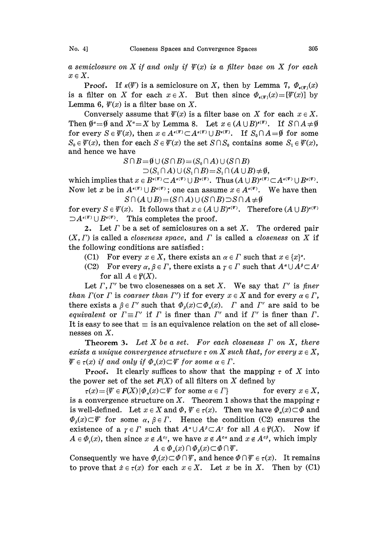a semiclosure on X if and only if  $\Psi(x)$  is a filter base on X for each  $x \in X$ .

**Proof.** If  $\kappa(\Psi)$  is a semiclosure on X, then by Lemma 7,  $\Phi_{\kappa(\Psi)}(x)$ is a filter on X for each  $x \in X$ . But then since  $\Phi_{\kappa(\Psi)}(x)=[\Psi(x)]$  by Lemma 6,  $\mathcal{F}(x)$  is a filter base on X.

Conversely assume that  $\psi(x)$  is a filter base on X for each  $x \in X$ . Then  $\emptyset^{\alpha} = \emptyset$  and  $X^{\alpha} = X$  by Lemma 8. Let  $x \in (A \cup B)^{k(\mathcal{F})}$ . If  $S \cap A \neq \emptyset$ for every  $S \in \Psi(x)$ , then  $x \in A^{k(\Psi)} \subset A^{k(\Psi)} \cup B^{k(\Psi)}$ . If  $S_0 \cap A = \emptyset$  for some  $S_0 \in \Psi(x)$ , then for each  $S \in \Psi(x)$  the set  $S \cap S_0$  contains some  $S_1 \in \Psi(x)$ , and hence we have

> $S \cap B = \emptyset \cup (S \cap B) = (S_0 \cap A) \cup (S \cap B)$  $\supset (S_1 \cap A) \cup (S_1 \cap B) = S_1 \cap (A \cup B) \neq \emptyset,$

which implies that  $x \in B^{\kappa(\Psi)} \subset A^{\kappa(\Psi)} \cup B^{\kappa(\Psi)}$ . Thus  $(A \cup B)^{\kappa(\Psi)} \subset A^{\kappa(\Psi)} \cup B^{\kappa(\Psi)}$ . Now let x be in  $A^{(v)} \cup B^{(v)}$ ; one can assume  $x \in A^{(v)}$ . We have then  $S \cap (A \cup B) = (S \cap A) \cup (S \cap B) \supset S \cap A \neq \emptyset$ 

for every  $S \in \Psi(x)$ . It follows that  $x \in (A \cup B)^{k(\Psi)}$ . Therefore  $(A \cup B)^{k(\Psi)}$  $\Box A^{\kappa(\Psi)} \cup B^{\kappa(\Psi)}$ . This completes the proof.

2. Let  $\Gamma$  be a set of semiclosures on a set  $X$ . The ordered pair  $(X, \Gamma)$  is called a *closeness space*, and  $\Gamma$  is called a *closeness* on X if the following conditions are satisfied:

- (C1) For every  $x \in X$ , there exists an  $\alpha \in \Gamma$  such that  $x \in \{x\}^{\alpha}$ .
- (C2) For every  $\alpha, \beta \in \Gamma$ , there exists  $a \gamma \in \Gamma$  such that  $A^* \cup A^{\beta} \subset A^{\gamma}$ for all  $A \in \mathcal{C}(X)$ .

Let  $\Gamma$ ,  $\Gamma'$  be two closenesses on a set X. We say that  $\Gamma'$  is finer than  $\Gamma$ (or  $\Gamma$  is coarser than  $\Gamma'$ ) if for every  $x \in X$  and for every  $\alpha \in \Gamma$ , there exists a  $\beta \in \Gamma'$  such that  $\Phi_{\delta}(x) \subset \Phi_{\delta}(x)$ .  $\Gamma$  and  $\Gamma'$  are said to be equivalent or  $\Gamma = \Gamma'$  if  $\Gamma$  is finer than  $\Gamma'$  and if  $\Gamma'$  is finer than  $\Gamma$ . It is easy to see that  $\equiv$  is an equivalence relation on the set of all closenesses on X.

**Theorem 3.** Let X be a set. For each closeness  $\Gamma$  on X, there exists a unique convergence structure  $\tau$  on X such that, for every  $x \in X$ ,  $\Psi \in \tau(x)$  if and only if  $\Phi_{\alpha}(x) \subset \Psi$  for some  $\alpha \in \Gamma$ .

**Proof.** It clearly suffices to show that the mapping  $\tau$  of X into the power set of the set  $F(X)$  of all filters on X defined by

 $\tau(x) = \{ \Psi \in F(X) | \Phi_x(x) \subset \Psi \text{ for some } \alpha \in \Gamma \}$  for every  $x \in X$ , is a convergence structure on X. Theorem 1 shows that the mapping  $\tau$ is well-defined. Let  $x \in X$  and  $\Phi$ ,  $\Psi \in \tau(x)$ . Then we have  $\Phi_{\alpha}(x) \subset \Phi$  and  $\Phi_{\beta}(x) \subset \Psi$  for some  $\alpha, \beta \in \Gamma$ . Hence the condition (C2) ensures the existence of a  $\gamma \in \Gamma$  such that  $A^{\alpha} \cup A^{\beta} \subset A^{\gamma}$  for all  $A \in \mathcal{C}(X)$ . Now if existence of a  $\gamma \in \Gamma$  such that  $A^{\alpha} \cup A^{\beta} \subset A^{\gamma}$  for all  $A \in \mathcal{C}(X)$ .  $A \in \Phi_{r}(x)$ , then since  $x \notin A^{c_{r}}$ , we have  $x \notin A^{c_{\alpha}}$  and  $x \notin A^{c_{\beta}}$ , which imply  $A \in \Phi_{\alpha}(x) \cap \Phi_{\beta}(x) \subset \Phi \cap \Psi$ .

Consequently we have  $\Phi_r(x) \subset \Phi \cap \Psi$ , and hence  $\Phi \cap \Psi \in \tau(x)$ . It remains to prove that  $\dot{x} \in \tau(x)$  for each  $x \in X$ . Let x be in X. Then by (C1)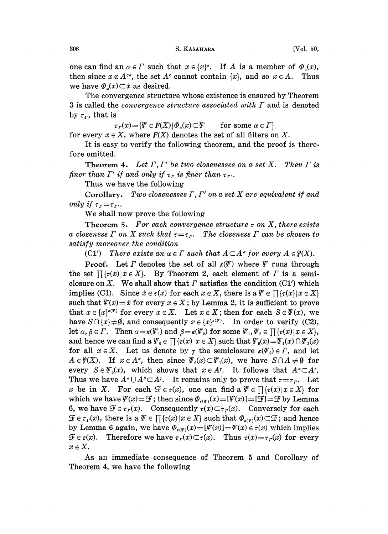one can find an  $\alpha \in \Gamma$  such that  $x \in \{x\}^*$ . If A is a member of  $\Phi_{\alpha}(x)$ , then since  $x \notin A^{c\alpha}$ , the set  $A^c$  cannot contain  $\{x\}$ , and so  $x \in A$ . Thus we have  $\Phi_{\alpha}(x) \subset \dot{x}$  as desired.

The convergence structure whose existence is ensured by Theorem 3 is called the *convergence structure associated with*  $\Gamma$  and is denoted by  $\tau_r$ , that is

 $\tau_r(x) = \{ \Psi \in F(X) | \Phi_\alpha(x) \subset \Psi \quad \text{for some } \alpha \in \Gamma \}$ 

for every  $x \in X$ , where  $F(X)$  denotes the set of all filters on X.

It is easy to verify the following theorem, and the proof is therefore omitted,

**Theorem 4.** Let  $\Gamma, \Gamma'$  be two closenesses on a set X. Then  $\Gamma$  is finer than  $\Gamma'$  if and only if  $\tau_r$  is finer than  $\tau_{r'}$ .

Thus we have the following

Corollary. Two closenesses  $\Gamma, \Gamma'$  on a set  $X$  are equivalent if and only if  $\tau_r = \tau_r$ .

We shall now prove the following

Theorem 5. For each convergence structure  $\tau$  on X, there exists a closeness  $\Gamma$  on X such that  $\tau = \tau_r$ . The closeness  $\Gamma$  can be chosen to satisfy moreover the condition

(C1') There exists an  $\alpha \in \Gamma$  such that  $A \subset A^{\alpha}$  for every  $A \in \mathcal{C}(X)$ .

**Proof.** Let  $\Gamma$  denotes the set of all  $\kappa(\Psi)$  where  $\Psi$  runs through the set  $\prod {\tau(x)|x \in X}$ . By Theorem 2, each element of  $\Gamma$  is a semiclosure on X. We shall show that  $\Gamma$  satisfies the condition (C1') which implies (C1). Since  $\dot{x} \in \tau(x)$  for each  $x \in X$ , there is a  $\Psi \in \prod {\{\tau(x) | x \in X\}}$ such that  $\psi(x) = \dot{x}$  for every  $x \in X$ ; by Lemma 2, it is sufficient to prove that  $x \in \{x\}^{\epsilon(\Psi)}$  for every  $x \in X$ . Let  $x \in X$ ; then for each  $S \in \Psi(x)$ , we have  $S \cap {x} \neq \emptyset$ , and consequently  $x \in {x}^{\prime(\Psi)}$ . In order to verify (C2), let  $\alpha, \beta \in \Gamma$ . Then  $\alpha = \kappa(\Psi_1)$  and  $\beta = \kappa(\Psi_2)$  for some  $\Psi_1, \Psi_2 \in \Pi$  { $\tau(x) | x \in X$  }, and hence we can find a  $\Psi_0 \in \prod \{\tau(x) | x \in X\}$  such that  $\Psi_0(x) = \Psi_1(x) \cap \Psi_2(x)$ for all  $x \in X$ . Let us denote by  $\gamma$  the semiclosure  $\kappa(\Psi_0) \in \Gamma$ , and let  $A \in \mathcal{C}(X)$ . If  $x \in A^{\alpha}$ , then since  $\Psi_0(x) \subset \Psi_1(x)$ , we have  $S \cap A \neq \emptyset$  for every  $S \in \Psi_0(x)$ , which shows that  $x \in A^r$ . It follows that  $A^{\alpha} \subset A^r$ . Thus we have  $A^{\alpha} \cup A^{\beta} \subset A^{\gamma}$ . It remains only to prove that  $\tau = \tau_r$ . Let x be in X. For each  $\mathcal{F} \in \tau(x)$ , one can find a  $\mathcal{F} \in \Pi \{\tau(x) | x \in X\}$  for which we have  $\mathcal{F}(x) = \mathcal{F}$ ; then since  $\Phi_{\epsilon(\mathcal{F})}(x) = [\mathcal{F}(x)] = [\mathcal{F}] = \mathcal{F}$  by Lemma 6, we have  $\mathcal{F} \in \tau_r(x)$ . Consequently  $\tau(x) \subset \tau_r(x)$ . Conversely for each  $\mathcal{F} \in \tau_r(x)$ , there is a  $\mathcal{F} \in \prod \{\tau(x) | x \in X\}$  such that  $\Phi_{\kappa(\mathcal{F})}(x) \subset \mathcal{F}$ ; and hence by Lemma 6 again, we have  $\Phi_{\kappa(\mathbf{r})}(x)=[\Psi(x)]=\Psi(x) \in \tau(x)$  which implies  $\mathcal{F} \in \tau(x)$ . Therefore we have  $\tau_r(x) \subset \tau(x)$ . Thus  $\tau(x) = \tau_r(x)$  for every  $x \in X$ .

As an immediate consequence of Theorem 5 and Corollary of Theorem 4, we have the following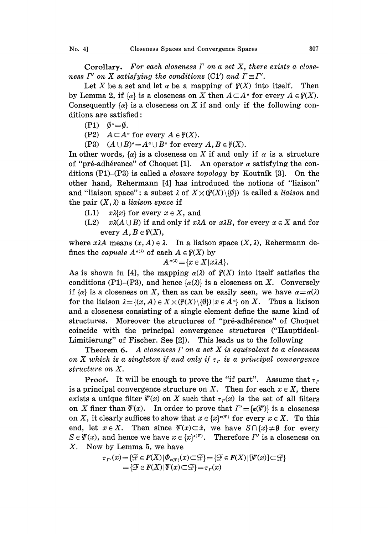Corollary. For each closeness  $\Gamma$  on a set X, there exists a closeness  $\Gamma'$  on X satisfying the conditions (C1') and  $\Gamma \equiv \Gamma'$ .

Let X be a set and let  $\alpha$  be a mapping of  $\mathcal{C}(X)$  into itself. Then by Lemma 2, if  $\{\alpha\}$  is a closeness on X then  $A \subset A^{\alpha}$  for every  $A \in \mathcal{C}(X)$ . Consequently  $\{\alpha\}$  is a closeness on X if and only if the following conditions are satisfied:

- (P1)  $\emptyset^* = \emptyset$ .<br>(P2)  $A \subset A^*$
- $A \subset A^{\alpha}$  for every  $A \in \mathcal{C}(X)$ .
- (P3)  $(A \cup B)^{\alpha} = A^{\alpha} \cup B^{\alpha}$  for every  $A, B \in \mathcal{C}(X)$ .

In other words,  $\{\alpha\}$  is a closeness on X if and only if  $\alpha$  is a structure of "pré-adhérence" of Choquet [1]. An operator  $\alpha$  satisfying the conditions  $(P1)$ – $(P3)$  is called a *closure topology* by Koutnik [3]. On the other hand, Rehermann [4] has introduced the notions of "liaison" and "liaison space": a subset  $\lambda$  of  $X \times (\mathcal{C}(X) \setminus \{0\})$  is called a *liaison* and the pair  $(X, \lambda)$  a liaison space if

- (L1)  $x\lambda\{x\}$  for every  $x \in X$ , and
- (L2)  $x\lambda(A\cup B)$  if and only if  $x\lambda A$  or  $x\lambda B$ , for every  $x \in X$  and for every  $A, B \in \mathcal{C}(X)$ ,

where  $x\lambda A$  means  $(x, A) \in \lambda$ . In a liaison space  $(X, \lambda)$ , Rehermann defines the *capusle*  $A^{\alpha(\lambda)}$  of each  $A \in \mathcal{C}(X)$  by

$$
A^{\alpha(\lambda)} = \{x \in X \mid x \lambda A\}.
$$

As is shown in [4], the mapping  $\alpha(\lambda)$  of  $\mathcal{Y}(X)$  into itself satisfies the conditions (P1)–(P3), and hence  $\{\alpha(\lambda)\}\$ is a closeness on X. Conversely if  $\{\alpha\}$  is a closeness on X, then as can be easily seen, we have  $\alpha = \alpha(\lambda)$ for the liaison  $\lambda = \{(x, A) \in X \times (\mathcal{Y}(X) \setminus \{0\}) | x \in A^{\alpha}\}\$  on X. Thus a liaison and a closeness consisting of a single element define the same kind of structures. Moreover the structures of "pré-adhérence" of Choquet coincide with the principal convergence structures ("Hauptideal-Limitierung" of Fischer. See [2]). This leads us to the following

**Theorem 6.** A closeness  $\Gamma$  on a set  $X$  is equivalent to a closeness on X which is a singleton if and only if  $\tau_r$  is a principal convergence structure on X.

**Proof.** It will be enough to prove the "if part". Assume that  $\tau_r$ is a principal convergence structure on X. Then for each  $x \in X$ , there exists a unique filter  $\psi(x)$  on X such that  $\tau_r(x)$  is the set of all filters on X finer than  $\mathcal{V}(x)$ . In order to prove that  $\Gamma' = {\kappa(\mathcal{V})}$  is a closeness on X, it clearly suffices to show that  $x \in \{x\}^{k(\mathscr{F})}$  for every  $x \in X$ . To this end, let  $x \in X$ . Then since  $\psi(x) \subset \dot{x}$ , we have  $S \cap \{x\} \neq \emptyset$  for every  $S \in \Psi(x)$ , and hence we have  $x \in \{x\}^{k(\Psi)}$ . Therefore  $\Gamma'$  is a closeness on X. Now by Lemma 5, we have

$$
\tau_{r'}(x) = \{ \mathcal{F} \in F(X) | \Phi_{\epsilon(\Psi)}(x) \subset \mathcal{F} \} = \{ \mathcal{F} \in F(X) | [\Psi(x)] \subset \mathcal{F} \} = \{ \mathcal{F} \in F(X) | \Psi(x) \subset \mathcal{F} \} = \tau_r(x)
$$